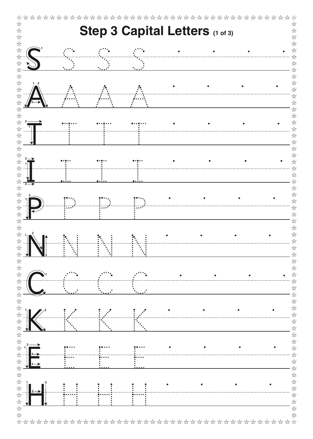| Step 3 Capital Letters (1 of 3) |  |  |  |  |  |  |  |  |  |
|---------------------------------|--|--|--|--|--|--|--|--|--|
|                                 |  |  |  |  |  |  |  |  |  |
|                                 |  |  |  |  |  |  |  |  |  |
|                                 |  |  |  |  |  |  |  |  |  |
|                                 |  |  |  |  |  |  |  |  |  |
| $1 \quad 2$                     |  |  |  |  |  |  |  |  |  |
|                                 |  |  |  |  |  |  |  |  |  |
|                                 |  |  |  |  |  |  |  |  |  |
|                                 |  |  |  |  |  |  |  |  |  |
|                                 |  |  |  |  |  |  |  |  |  |
|                                 |  |  |  |  |  |  |  |  |  |
|                                 |  |  |  |  |  |  |  |  |  |
|                                 |  |  |  |  |  |  |  |  |  |
|                                 |  |  |  |  |  |  |  |  |  |
|                                 |  |  |  |  |  |  |  |  |  |
|                                 |  |  |  |  |  |  |  |  |  |
|                                 |  |  |  |  |  |  |  |  |  |
|                                 |  |  |  |  |  |  |  |  |  |
|                                 |  |  |  |  |  |  |  |  |  |
|                                 |  |  |  |  |  |  |  |  |  |
|                                 |  |  |  |  |  |  |  |  |  |
|                                 |  |  |  |  |  |  |  |  |  |
|                                 |  |  |  |  |  |  |  |  |  |
|                                 |  |  |  |  |  |  |  |  |  |
|                                 |  |  |  |  |  |  |  |  |  |
|                                 |  |  |  |  |  |  |  |  |  |
|                                 |  |  |  |  |  |  |  |  |  |
|                                 |  |  |  |  |  |  |  |  |  |
|                                 |  |  |  |  |  |  |  |  |  |
|                                 |  |  |  |  |  |  |  |  |  |
|                                 |  |  |  |  |  |  |  |  |  |
|                                 |  |  |  |  |  |  |  |  |  |
|                                 |  |  |  |  |  |  |  |  |  |
|                                 |  |  |  |  |  |  |  |  |  |
|                                 |  |  |  |  |  |  |  |  |  |
| $\leftrightarrow$               |  |  |  |  |  |  |  |  |  |
|                                 |  |  |  |  |  |  |  |  |  |
|                                 |  |  |  |  |  |  |  |  |  |
| 2—>                             |  |  |  |  |  |  |  |  |  |
|                                 |  |  |  |  |  |  |  |  |  |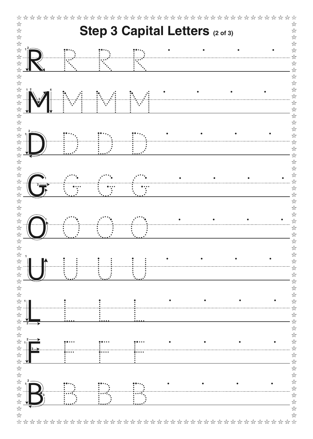| Step 3 Capital Letters (2 of 3) |  |  |  |  |  |  |  |  |  |
|---------------------------------|--|--|--|--|--|--|--|--|--|
|                                 |  |  |  |  |  |  |  |  |  |
|                                 |  |  |  |  |  |  |  |  |  |
|                                 |  |  |  |  |  |  |  |  |  |
|                                 |  |  |  |  |  |  |  |  |  |
| 1 <sub>2</sub>                  |  |  |  |  |  |  |  |  |  |
|                                 |  |  |  |  |  |  |  |  |  |
|                                 |  |  |  |  |  |  |  |  |  |
|                                 |  |  |  |  |  |  |  |  |  |
|                                 |  |  |  |  |  |  |  |  |  |
|                                 |  |  |  |  |  |  |  |  |  |
|                                 |  |  |  |  |  |  |  |  |  |
|                                 |  |  |  |  |  |  |  |  |  |
|                                 |  |  |  |  |  |  |  |  |  |
|                                 |  |  |  |  |  |  |  |  |  |
|                                 |  |  |  |  |  |  |  |  |  |
|                                 |  |  |  |  |  |  |  |  |  |
|                                 |  |  |  |  |  |  |  |  |  |
|                                 |  |  |  |  |  |  |  |  |  |
|                                 |  |  |  |  |  |  |  |  |  |
|                                 |  |  |  |  |  |  |  |  |  |
|                                 |  |  |  |  |  |  |  |  |  |
|                                 |  |  |  |  |  |  |  |  |  |
|                                 |  |  |  |  |  |  |  |  |  |
|                                 |  |  |  |  |  |  |  |  |  |
|                                 |  |  |  |  |  |  |  |  |  |
|                                 |  |  |  |  |  |  |  |  |  |
|                                 |  |  |  |  |  |  |  |  |  |
| $\mathbf{2} \cdot$              |  |  |  |  |  |  |  |  |  |
| $3 \rightarrow$                 |  |  |  |  |  |  |  |  |  |
|                                 |  |  |  |  |  |  |  |  |  |
|                                 |  |  |  |  |  |  |  |  |  |
| 2                               |  |  |  |  |  |  |  |  |  |
|                                 |  |  |  |  |  |  |  |  |  |
|                                 |  |  |  |  |  |  |  |  |  |